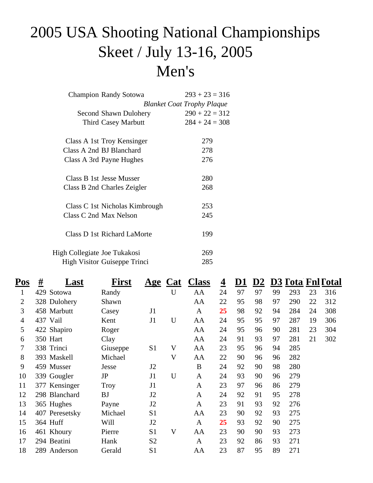### 2005 USA Shooting National Championships Skeet / July 13-16, 2005 Men's

| <b>Champion Randy Sotowa</b> |                                | $293 + 23 = 316$                  |
|------------------------------|--------------------------------|-----------------------------------|
|                              |                                | <b>Blanket Coat Trophy Plaque</b> |
|                              | Second Shawn Dulohery          | $290 + 22 = 312$                  |
|                              | <b>Third Casey Marbutt</b>     | $284 + 24 = 308$                  |
| Class A 1st Troy Kensinger   |                                | 279                               |
| Class A 2nd BJ Blanchard     |                                | 278                               |
| Class A 3rd Payne Hughes     |                                | 276                               |
| Class B 1st Jesse Musser     |                                | 280                               |
| Class B 2nd Charles Zeigler  |                                | 268                               |
|                              | Class C 1st Nicholas Kimbrough | 253                               |
| Class C 2nd Max Nelson       |                                | 245                               |
| Class D 1st Richard LaMorte  |                                | 199                               |
| High Collegiate Joe Tukakosi |                                | 269                               |
| High Visitor Guiseppe Trinci |                                | 285                               |

| Pos            | <u>#</u><br>Last | <b>First</b> | $\mathbf{Age}$ | Cat                       | <b>Class</b> | $\overline{\mathbf{4}}$ | <u>D1</u> | $\underline{\mathbf{D2}}$ |    |     |    | <b>D3</b> Tota Fnl Total |  |
|----------------|------------------|--------------|----------------|---------------------------|--------------|-------------------------|-----------|---------------------------|----|-----|----|--------------------------|--|
| 1              | 429 Sotowa       | Randy        |                | U                         | AA           | 24                      | 97        | 97                        | 99 | 293 | 23 | 316                      |  |
| $\overline{2}$ | 328 Dulohery     | Shawn        |                |                           | AA           | 22                      | 95        | 98                        | 97 | 290 | 22 | 312                      |  |
| 3              | 458 Marbutt      | Casey        | J1             |                           | A            | 25                      | 98        | 92                        | 94 | 284 | 24 | 308                      |  |
| $\overline{4}$ | 437 Vail         | Kent         | J1             | U                         | AA           | 24                      | 95        | 95                        | 97 | 287 | 19 | 306                      |  |
| 5              | 422 Shapiro      | Roger        |                |                           | AA           | 24                      | 95        | 96                        | 90 | 281 | 23 | 304                      |  |
| 6              | 350 Hart         | Clay         |                |                           | AA           | 24                      | 91        | 93                        | 97 | 281 | 21 | 302                      |  |
| 7              | 338 Trinci       | Giuseppe     | S <sub>1</sub> | $\mathbf V$               | AA           | 23                      | 95        | 96                        | 94 | 285 |    |                          |  |
| 8              | 393 Maskell      | Michael      |                | $\boldsymbol{\mathrm{V}}$ | AA           | 22                      | 90        | 96                        | 96 | 282 |    |                          |  |
| 9              | 459 Musser       | Jesse        | J2             |                           | B            | 24                      | 92        | 90                        | 98 | 280 |    |                          |  |
| 10             | 339 Gougler      | JP           | J1             | U                         | $\mathbf{A}$ | 24                      | 93        | 90                        | 96 | 279 |    |                          |  |
| 11             | 377 Kensinger    | <b>Troy</b>  | J1             |                           | A            | 23                      | 97        | 96                        | 86 | 279 |    |                          |  |
| 12             | 298 Blanchard    | <b>BJ</b>    | J2             |                           | A            | 24                      | 92        | 91                        | 95 | 278 |    |                          |  |
| 13             | 365 Hughes       | Payne        | J2             |                           | A            | 23                      | 91        | 93                        | 92 | 276 |    |                          |  |
| 14             | 407 Peresetsky   | Michael      | S <sub>1</sub> |                           | AA           | 23                      | 90        | 92                        | 93 | 275 |    |                          |  |
| 15             | 364 Huff         | Will         | J2             |                           | $\mathbf{A}$ | 25                      | 93        | 92                        | 90 | 275 |    |                          |  |
| 16             | 461 Khoury       | Pierre       | S1             | $\boldsymbol{\mathrm{V}}$ | AA           | 23                      | 90        | 90                        | 93 | 273 |    |                          |  |
| 17             | 294 Beatini      | Hank         | S <sub>2</sub> |                           | $\mathbf{A}$ | 23                      | 92        | 86                        | 93 | 271 |    |                          |  |
| 18             | 289 Anderson     | Gerald       | S1             |                           | AA           | 23                      | 87        | 95                        | 89 | 271 |    |                          |  |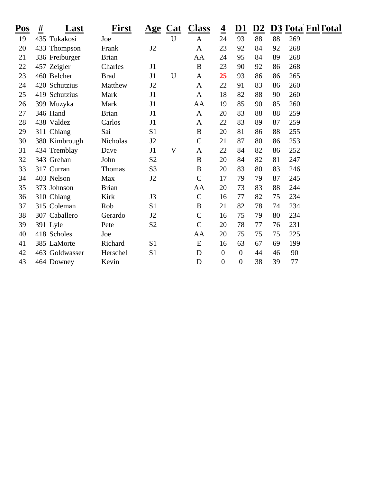| <u>Pos</u> | #<br>Last      | <b>First</b> |                |             | Age Cat Class    | $\overline{\mathbf{4}}$ | <u>D1</u>        | D2 |    |     | <b>D3 Tota Fnl Total</b> |
|------------|----------------|--------------|----------------|-------------|------------------|-------------------------|------------------|----|----|-----|--------------------------|
| 19         | 435 Tukakosi   | Joe          |                | $\mathbf U$ | $\mathbf{A}$     | 24                      | 93               | 88 | 88 | 269 |                          |
| 20         | 433 Thompson   | Frank        | J2             |             | $\mathbf{A}$     | 23                      | 92               | 84 | 92 | 268 |                          |
| 21         | 336 Freiburger | <b>Brian</b> |                |             | AA               | 24                      | 95               | 84 | 89 | 268 |                          |
| 22         | 457 Zeigler    | Charles      | J1             |             | $\bf{B}$         | 23                      | 90               | 92 | 86 | 268 |                          |
| 23         | 460 Belcher    | <b>Brad</b>  | J1             | $\mathbf U$ | $\mathbf{A}$     | 25                      | 93               | 86 | 86 | 265 |                          |
| 24         | 420 Schutzius  | Matthew      | J2             |             | A                | 22                      | 91               | 83 | 86 | 260 |                          |
| 25         | 419 Schutzius  | Mark         | J1             |             | $\mathbf{A}$     | 18                      | 82               | 88 | 90 | 260 |                          |
| 26         | 399 Muzyka     | Mark         | J1             |             | AA               | 19                      | 85               | 90 | 85 | 260 |                          |
| 27         | 346 Hand       | <b>Brian</b> | J1             |             | $\mathbf{A}$     | 20                      | 83               | 88 | 88 | 259 |                          |
| 28         | 438 Valdez     | Carlos       | J1             |             | A                | 22                      | 83               | 89 | 87 | 259 |                          |
| 29         | 311 Chiang     | Sai          | S <sub>1</sub> |             | $\boldsymbol{B}$ | 20                      | 81               | 86 | 88 | 255 |                          |
| 30         | 380 Kimbrough  | Nicholas     | J2             |             | $\mathsf{C}$     | 21                      | 87               | 80 | 86 | 253 |                          |
| 31         | 434 Tremblay   | Dave         | J1             | $\mathbf V$ | $\mathbf{A}$     | 22                      | 84               | 82 | 86 | 252 |                          |
| 32         | 343 Grehan     | John         | S <sub>2</sub> |             | $\bf{B}$         | 20                      | 84               | 82 | 81 | 247 |                          |
| 33         | 317 Curran     | Thomas       | S <sub>3</sub> |             | $\boldsymbol{B}$ | 20                      | 83               | 80 | 83 | 246 |                          |
| 34         | 403 Nelson     | Max          | J2             |             | $\mathcal{C}$    | 17                      | 79               | 79 | 87 | 245 |                          |
| 35         | 373 Johnson    | <b>Brian</b> |                |             | AA               | 20                      | 73               | 83 | 88 | 244 |                          |
| 36         | 310 Chiang     | Kirk         | J3             |             | $\mathcal{C}$    | 16                      | 77               | 82 | 75 | 234 |                          |
| 37         | 315 Coleman    | Rob          | S <sub>1</sub> |             | $\bf{B}$         | 21                      | 82               | 78 | 74 | 234 |                          |
| 38         | 307 Caballero  | Gerardo      | J2             |             | $\mathcal{C}$    | 16                      | 75               | 79 | 80 | 234 |                          |
| 39         | 391 Lyle       | Pete         | S <sub>2</sub> |             | $\mathsf{C}$     | 20                      | 78               | 77 | 76 | 231 |                          |
| 40         | 418 Scholes    | Joe          |                |             | AA               | 20                      | 75               | 75 | 75 | 225 |                          |
| 41         | 385 LaMorte    | Richard      | S <sub>1</sub> |             | E                | 16                      | 63               | 67 | 69 | 199 |                          |
| 42         | 463 Goldwasser | Herschel     | S <sub>1</sub> |             | D                | $\overline{0}$          | $\boldsymbol{0}$ | 44 | 46 | 90  |                          |
| 43         | 464 Downey     | Kevin        |                |             | D                | $\boldsymbol{0}$        | $\boldsymbol{0}$ | 38 | 39 | 77  |                          |
|            |                |              |                |             |                  |                         |                  |    |    |     |                          |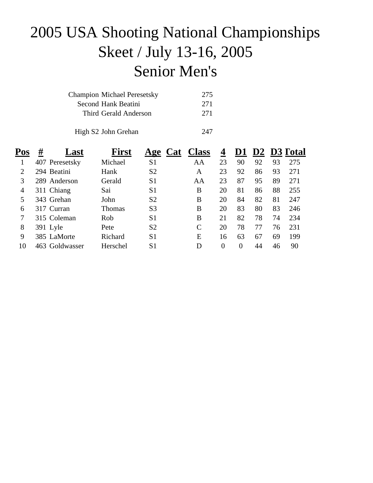## 2005 USA Shooting National Championships Skeet / July 13-16, 2005 Senior Men's

| <b>Champion Michael Peresetsky</b> | 275 |
|------------------------------------|-----|
| Second Hank Beatini                | 271 |
| Third Gerald Anderson              | 271 |
|                                    |     |
| High S2 John Grehan                | 247 |

| Pos | #<br>Last      | <b>First</b>  | <b>Cat</b><br>Age | <b>Class</b> | 4        | D1             |    |    | D <sub>2</sub> D <sub>3</sub> Total |
|-----|----------------|---------------|-------------------|--------------|----------|----------------|----|----|-------------------------------------|
|     | 407 Peresetsky | Michael       | S <sub>1</sub>    | AA           | 23       | 90             | 92 | 93 | 275                                 |
| 2   | 294 Beatini    | Hank          | S <sub>2</sub>    | A            | 23       | 92             | 86 | 93 | 271                                 |
| 3   | 289 Anderson   | Gerald        | S <sub>1</sub>    | AA           | 23       | 87             | 95 | 89 | 271                                 |
| 4   | 311 Chiang     | Sai           | S <sub>1</sub>    | B            | 20       | 81             | 86 | 88 | 255                                 |
| 5   | 343 Grehan     | John          | S <sub>2</sub>    | B            | 20       | 84             | 82 | 81 | 247                                 |
| 6   | 317 Curran     | <b>Thomas</b> | S <sub>3</sub>    | B            | 20       | 83             | 80 | 83 | 246                                 |
| 7   | 315 Coleman    | Rob           | S <sub>1</sub>    | B            | 21       | 82             | 78 | 74 | 234                                 |
| 8   | 391 Lyle       | Pete          | S <sub>2</sub>    | C            | 20       | 78             | 77 | 76 | 231                                 |
| 9   | 385 LaMorte    | Richard       | S <sub>1</sub>    | E            | 16       | 63             | 67 | 69 | 199                                 |
| 10  | 463 Goldwasser | Herschel      | S <sub>1</sub>    | D            | $\Omega$ | $\overline{0}$ | 44 | 46 | 90                                  |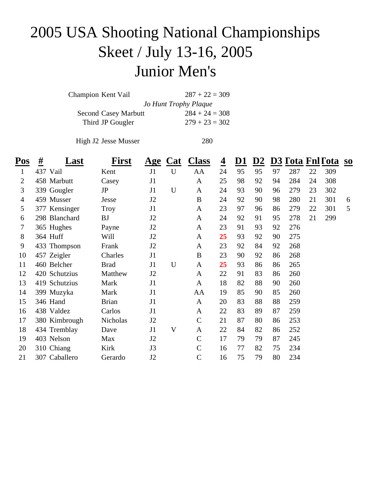### 2005 USA Shooting National Championships Skeet / July 13-16, 2005 Junior Men's

| Champion Kent Vail          | $287 + 22 = 309$      |
|-----------------------------|-----------------------|
|                             | Jo Hunt Trophy Plaque |
| <b>Second Casey Marbutt</b> | $284 + 24 = 308$      |
| Third JP Gougler            | $279 + 23 = 302$      |

High J2 Jesse Musser 280

| $P_{OS}$       | <u>#</u><br>Last | <b>First</b> |                | Age Cat     | <b>Class</b>  | $\overline{\mathbf{4}}$ | <u>D1</u> | D2 |    |     |    | D3 Tota Fnl Tota so |   |
|----------------|------------------|--------------|----------------|-------------|---------------|-------------------------|-----------|----|----|-----|----|---------------------|---|
| $\mathbf{1}$   | 437 Vail         | Kent         | J1             | $\mathbf U$ | AA            | 24                      | 95        | 95 | 97 | 287 | 22 | 309                 |   |
| $\overline{2}$ | 458 Marbutt      | Casey        | J1             |             | $\mathbf{A}$  | 25                      | 98        | 92 | 94 | 284 | 24 | 308                 |   |
| 3              | 339 Gougler      | JP           | J1             | U           | $\mathbf{A}$  | 24                      | 93        | 90 | 96 | 279 | 23 | 302                 |   |
| 4              | 459 Musser       | Jesse        | J2             |             | $\bf{B}$      | 24                      | 92        | 90 | 98 | 280 | 21 | 301                 | 6 |
| 5              | 377 Kensinger    | Troy         | J1             |             | $\mathbf{A}$  | 23                      | 97        | 96 | 86 | 279 | 22 | 301                 | 5 |
| 6              | 298 Blanchard    | <b>BJ</b>    | J <sub>2</sub> |             | $\mathbf{A}$  | 24                      | 92        | 91 | 95 | 278 | 21 | 299                 |   |
| 7              | 365 Hughes       | Payne        | J2             |             | A             | 23                      | 91        | 93 | 92 | 276 |    |                     |   |
| 8              | 364 Huff         | Will         | J <sub>2</sub> |             | A             | 25                      | 93        | 92 | 90 | 275 |    |                     |   |
| 9              | 433 Thompson     | Frank        | J <sub>2</sub> |             | $\mathbf{A}$  | 23                      | 92        | 84 | 92 | 268 |    |                     |   |
| 10             | 457 Zeigler      | Charles      | J1             |             | $\bf{B}$      | 23                      | 90        | 92 | 86 | 268 |    |                     |   |
| 11             | 460 Belcher      | <b>Brad</b>  | J1             | $\mathbf U$ | A             | 25                      | 93        | 86 | 86 | 265 |    |                     |   |
| 12             | 420 Schutzius    | Matthew      | J2             |             | $\mathbf{A}$  | 22                      | 91        | 83 | 86 | 260 |    |                     |   |
| 13             | 419 Schutzius    | Mark         | J1             |             | $\mathbf{A}$  | 18                      | 82        | 88 | 90 | 260 |    |                     |   |
| 14             | 399 Muzyka       | Mark         | J1             |             | AA            | 19                      | 85        | 90 | 85 | 260 |    |                     |   |
| 15             | 346 Hand         | <b>Brian</b> | J1             |             | $\mathbf{A}$  | 20                      | 83        | 88 | 88 | 259 |    |                     |   |
| 16             | 438 Valdez       | Carlos       | J1             |             | A             | 22                      | 83        | 89 | 87 | 259 |    |                     |   |
| 17             | 380 Kimbrough    | Nicholas     | J2             |             | $\mathbf C$   | 21                      | 87        | 80 | 86 | 253 |    |                     |   |
| 18             | 434 Tremblay     | Dave         | J1             | V           | A             | 22                      | 84        | 82 | 86 | 252 |    |                     |   |
| 19             | 403 Nelson       | Max          | J2             |             | $\mathcal{C}$ | 17                      | 79        | 79 | 87 | 245 |    |                     |   |
| 20             | 310 Chiang       | Kirk         | J3             |             | $\mathbf C$   | 16                      | 77        | 82 | 75 | 234 |    |                     |   |
| 21             | 307 Caballero    | Gerardo      | J2             |             | $\mathbf C$   | 16                      | 75        | 79 | 80 | 234 |    |                     |   |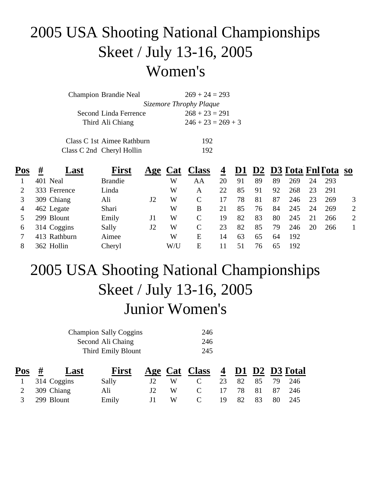### 2005 USA Shooting National Championships Skeet / July 13-16, 2005 Women's

| <b>Champion Brandie Neal</b> | $269 + 24 = 293$        |
|------------------------------|-------------------------|
|                              | Sizemore Throphy Plaque |
| Second Linda Ferrence        | $268 + 23 = 291$        |
| Third Ali Chiang             | $246 + 23 = 269 + 3$    |
| Class C 1st Aimee Rathburn   | 192                     |
| Class C 2nd Cheryl Hollin    | 192                     |

| Pos      | #            | ⊿ast | <b>First</b>   | Age | <b>Cat</b> | <b>Class</b>  | $\boldsymbol{4}$ | D <sub>1</sub> |    |    |     |    | D2 D3 Tota Fnl Tota so |                |
|----------|--------------|------|----------------|-----|------------|---------------|------------------|----------------|----|----|-----|----|------------------------|----------------|
|          | 401 Neal     |      | <b>Brandie</b> |     | W          | AA            | 20               | 91             | 89 | 89 | 269 | 24 | 293                    |                |
|          | 333 Ferrence |      | Linda          |     | W          | A             | 22               | 85             | 91 | 92 | 268 | 23 | 291                    |                |
| 3        | 309 Chiang   |      | Ali            | J2  | W          | $\mathcal{C}$ | 17               | 78             | 81 | 87 | 246 | 23 | 269                    | 3              |
| 4        | 462 Legate   |      | Shari          |     | W          | B             | 21               | 85             | 76 | 84 | 245 | 24 | 269                    | $\overline{2}$ |
|          | 299 Blount   |      | Emily          | J1  | W          | $\mathcal{C}$ | 19               | 82             | 83 | 80 | 245 |    | 266                    | $\overline{2}$ |
| $\sigma$ | 314 Coggins  |      | Sally          | J2  | W          | $\mathsf{C}$  | 23               | 82             | 85 | 79 | 246 | 20 | 266                    |                |
|          | 413 Rathburn |      | Aimee          |     | W          | E             | 14               | 63             | 65 | 64 | 192 |    |                        |                |
| 8        | 362 Hollin   |      | Cheryl         |     | W/U        | E             |                  | 51             | 76 | 65 | 192 |    |                        |                |

### 2005 USA Shooting National Championships Skeet / July 13-16, 2005 Junior Women's

| <b>Champion Sally Coggins</b> | 246 |
|-------------------------------|-----|
| Second Ali Chaing             | 246 |
| Third Emily Blount            | 245 |

| $\frac{\textbf{Pos}}{\textbf{H}}$ #<br>Last | <b>First</b> |              |     | Age Cat Class 4 D1 D2 D3 Fotal |                 |  |  |
|---------------------------------------------|--------------|--------------|-----|--------------------------------|-----------------|--|--|
| $1\quad 314 \text{ Coggins}$                | Sally        | J2           | W · | $\mathbf C$                    | 23 82 85 79 246 |  |  |
| 2 309 Chiang                                | Ali          | $\mathbf{E}$ |     | $\mathcal{C}$                  | 17 78 81 87 246 |  |  |
| 3 299 Blount                                | Emily        | $\mathbf{H}$ |     | $\mathbf{C}$                   | 19 82 83 80 245 |  |  |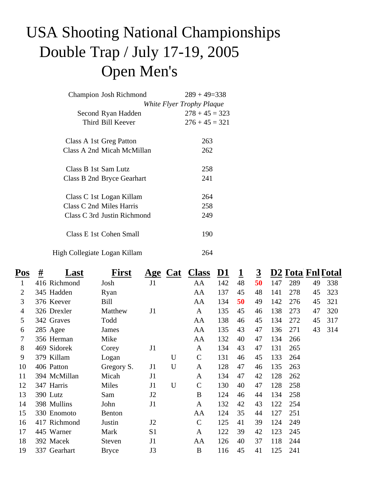# USA Shooting National Championships Double Trap / July 17-19, 2005 Open Men's

| Champion Josh Richmond       | $289 + 49 = 338$          |
|------------------------------|---------------------------|
|                              | White Flyer Trophy Plaque |
| Second Ryan Hadden           | $278 + 45 = 323$          |
| Third Bill Keever            | $276 + 45 = 321$          |
| Class A 1st Greg Patton      | 263                       |
| Class A 2nd Micah McMillan   | 262                       |
| Class B 1st Sam Lutz         | 258                       |
| Class B 2nd Bryce Gearhart   | 241                       |
| Class C 1st Logan Killam     | 264                       |
| Class C 2nd Miles Harris     | 258                       |
| Class C 3rd Justin Richmond  | 249                       |
| Class E 1st Cohen Small      | 190                       |
| High Collegiate Logan Killam | 264                       |

| Pos | <u>#</u><br>Last | First         |                |   | Age Cat Class | <u>D1</u> | <u>1</u> | <u>3</u> |     | D2 Tota Fnl Total |    |     |
|-----|------------------|---------------|----------------|---|---------------|-----------|----------|----------|-----|-------------------|----|-----|
| 1   | 416 Richmond     | Josh          | J1             |   | AA            | 142       | 48       | 50       | 147 | 289               | 49 | 338 |
| 2   | 345 Hadden       | Ryan          |                |   | AA            | 137       | 45       | 48       | 141 | 278               | 45 | 323 |
| 3   | 376 Keever       | Bill          |                |   | AA            | 134       | 50       | 49       | 142 | 276               | 45 | 321 |
| 4   | 326 Drexler      | Matthew       | J1             |   | $\mathbf{A}$  | 135       | 45       | 46       | 138 | 273               | 47 | 320 |
| 5   | 342 Graves       | Todd          |                |   | AA            | 138       | 46       | 45       | 134 | 272               | 45 | 317 |
| 6   | 285 Agee         | James         |                |   | AA            | 135       | 43       | 47       | 136 | 271               | 43 | 314 |
| 7   | 356 Herman       | Mike          |                |   | AA            | 132       | 40       | 47       | 134 | 266               |    |     |
| 8   | 469 Sidorek      | Corey         | J1             |   | A             | 134       | 43       | 47       | 131 | 265               |    |     |
| 9   | 379 Killam       | Logan         |                | U | $\mathbf C$   | 131       | 46       | 45       | 133 | 264               |    |     |
| 10  | 406 Patton       | Gregory S.    | J1             | U | A             | 128       | 47       | 46       | 135 | 263               |    |     |
| 11  | 394 McMillan     | Micah         | J1             |   | A             | 134       | 47       | 42       | 128 | 262               |    |     |
| 12  | 347 Harris       | Miles         | J1             | U | $\mathbf C$   | 130       | 40       | 47       | 128 | 258               |    |     |
| 13  | 390 Lutz         | Sam           | J2             |   | B             | 124       | 46       | 44       | 134 | 258               |    |     |
| 14  | 398 Mullins      | John          | J1             |   | A             | 132       | 42       | 43       | 122 | 254               |    |     |
| 15  | 330 Enomoto      | <b>Benton</b> |                |   | AA            | 124       | 35       | 44       | 127 | 251               |    |     |
| 16  | 417 Richmond     | Justin        | J2             |   | $\mathbf C$   | 125       | 41       | 39       | 124 | 249               |    |     |
| 17  | 445 Warner       | Mark          | S <sub>1</sub> |   | A             | 122       | 39       | 42       | 123 | 245               |    |     |
| 18  | 392 Macek        | <b>Steven</b> | J1             |   | AA            | 126       | 40       | 37       | 118 | 244               |    |     |
| 19  | 337 Gearhart     | <b>Bryce</b>  | J3             |   | B             | 116       | 45       | 41       | 125 | 241               |    |     |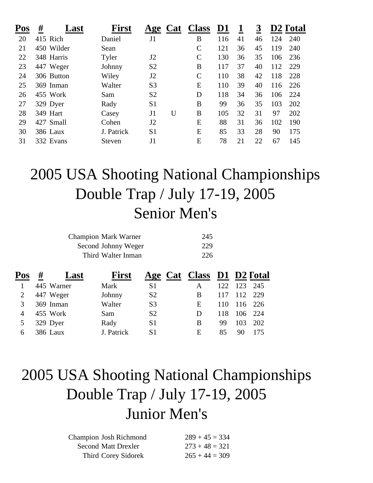| Pos | #<br>⊿ast  | First      | Age            | <b>Class</b><br><b>Cat</b> | <u>D1</u> |    | 3  |     | D2 Total |
|-----|------------|------------|----------------|----------------------------|-----------|----|----|-----|----------|
| 20  | 415 Rich   | Daniel     | J1             | B                          | 116       | 41 | 46 | 124 | 240      |
| 21  | 450 Wilder | Sean       |                | $\mathsf{C}$               | 121       | 36 | 45 | 119 | 240      |
| 22  | 348 Harris | Tyler      | J2             | $\mathcal{C}$              | 130       | 36 | 35 | 106 | 236      |
| 23  | 447 Weger  | Johnny     | S <sub>2</sub> | B                          | 117       | 37 | 40 | 112 | 229      |
| 24  | 306 Button | Wiley      | J2             | $\mathsf{C}$               | 110       | 38 | 42 | 118 | 228      |
| 25  | 369 Inman  | Walter     | S <sub>3</sub> | E                          | 110       | 39 | 40 | 116 | 226      |
| 26  | 455 Work   | Sam        | S <sub>2</sub> | D                          | 118       | 34 | 36 | 106 | 224      |
| 27  | 329 Dyer   | Rady       | S <sub>1</sub> | B                          | 99        | 36 | 35 | 103 | 202      |
| 28  | 349 Hart   | Casey      | J1             | U<br>B                     | 105       | 32 | 31 | 97  | 202      |
| 29  | 427 Small  | Cohen      | J2             | E                          | 88        | 31 | 36 | 102 | 190      |
| 30  | 386 Laux   | J. Patrick | S <sub>1</sub> | E                          | 85        | 33 | 28 | 90  | 175      |
| 31  | 332 Evans  | Steven     | J1             | Ε                          | 78        | 21 | 22 | 67  | 145      |

#### 2005 USA Shooting National Championships Double Trap / July 17-19, 2005 Senior Men's

| <b>Champion Mark Warner</b> | 245 |
|-----------------------------|-----|
| Second Johnny Weger         | 229 |
| Third Walter Inman          | 226 |

| Pos | # | Last       | <b>First</b> |                | Age Cat Class D1 D2 Fotal |     |         |         |
|-----|---|------------|--------------|----------------|---------------------------|-----|---------|---------|
|     |   | 445 Warner | Mark         | S1             |                           | 122 |         | 123 245 |
|     |   | 447 Weger  | Johnny       | S <sub>2</sub> | B                         | 117 | 112 229 |         |
|     |   | 369 Inman  | Walter       | S <sub>3</sub> | E                         | 110 |         | 116 226 |
| 4   |   | 455 Work   | Sam          | S <sub>2</sub> | D                         | 118 |         | 106 224 |
|     |   | 329 Dyer   | Rady         | S <sub>1</sub> | B                         | 99  | 103     | 202     |
| 6   |   | 386 Laux   | J. Patrick   | S1             | E                         | 85  | 90      | 175     |

# 2005 USA Shooting National Championships Double Trap / July 17-19, 2005 Junior Men's

| Champion Josh Richmond | $289 + 45 = 334$ |
|------------------------|------------------|
| Second Matt Drexler    | $273 + 48 = 321$ |
| Third Corey Sidorek    | $265 + 44 = 309$ |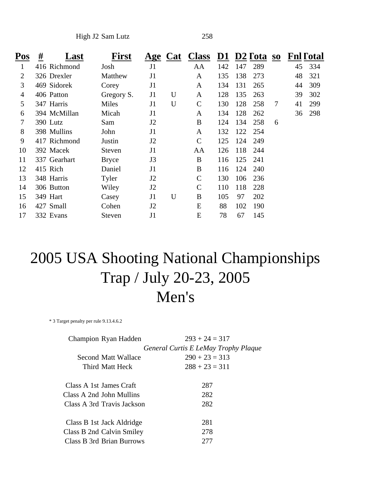High J2 Sam Lutz 258

| Pos | #<br>Last    | <b>First</b>  |                | Age Cat | <b>Class</b>  | D1  |     | D2 Fota | $\bf{S0}$ | <b>Fnl Fotal</b> |     |
|-----|--------------|---------------|----------------|---------|---------------|-----|-----|---------|-----------|------------------|-----|
| 1   | 416 Richmond | Josh          | J1             |         | AA            | 142 | 147 | 289     |           | 45               | 334 |
| 2   | 326 Drexler  | Matthew       | J <sub>1</sub> |         | A             | 135 | 138 | 273     |           | 48               | 321 |
| 3   | 469 Sidorek  | Corey         | J1             |         | A             | 134 | 131 | 265     |           | 44               | 309 |
| 4   | 406 Patton   | Gregory S.    | J1             | U       | A             | 128 | 135 | 263     |           | 39               | 302 |
| 5   | 347 Harris   | Miles         | J1             | U       | $\mathbf C$   | 130 | 128 | 258     | 7         | 41               | 299 |
| 6   | 394 McMillan | Micah         | J1             |         | A             | 134 | 128 | 262     |           | 36               | 298 |
| 7   | 390 Lutz     | Sam           | J2             |         | B             | 124 | 134 | 258     | 6         |                  |     |
| 8   | 398 Mullins  | John          | J1             |         | A             | 132 | 122 | 254     |           |                  |     |
| 9   | 417 Richmond | Justin        | J2             |         | $\mathcal{C}$ | 125 | 124 | 249     |           |                  |     |
| 10  | 392 Macek    | <b>Steven</b> | J <sub>1</sub> |         | AA            | 126 | 118 | 244     |           |                  |     |
| 11  | 337 Gearhart | <b>Bryce</b>  | J3             |         | B             | 116 | 125 | 241     |           |                  |     |
| 12  | 415 Rich     | Daniel        | J1             |         | B             | 116 | 124 | 240     |           |                  |     |
| 13  | 348 Harris   | Tyler         | J2             |         | $\mathsf{C}$  | 130 | 106 | 236     |           |                  |     |
| 14  | 306 Button   | Wiley         | J2             |         | $\mathsf{C}$  | 110 | 118 | 228     |           |                  |     |
| 15  | 349 Hart     | Casey         | J1             | U       | B             | 105 | 97  | 202     |           |                  |     |
| 16  | 427 Small    | Cohen         | J2             |         | E             | 88  | 102 | 190     |           |                  |     |
| 17  | 332 Evans    | Steven        | J <sub>1</sub> |         | E             | 78  | 67  | 145     |           |                  |     |

#### 2005 USA Shooting National Championships Trap / July 20-23, 2005 Men's

\* 3 Target penalty per rule 9.13.4.6.2

| Champion Ryan Hadden       | $293 + 24 = 317$                     |
|----------------------------|--------------------------------------|
|                            | General Curtis E LeMay Trophy Plaque |
| Second Matt Wallace        | $290 + 23 = 313$                     |
| Third Matt Heck            | $288 + 23 = 311$                     |
|                            |                                      |
| Class A 1st James Craft    | 287                                  |
| Class A 2nd John Mullins   | 282                                  |
| Class A 3rd Travis Jackson | 282                                  |
|                            |                                      |
| Class B 1st Jack Aldridge  | 281                                  |
| Class B 2nd Calvin Smiley  | 278                                  |
| Class B 3rd Brian Burrows  | 277                                  |
|                            |                                      |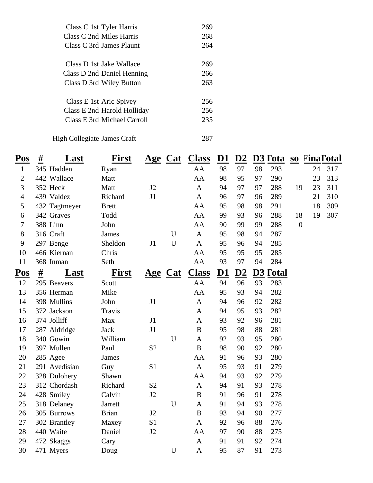| Class C 1st Tyler Harris    | 269 |
|-----------------------------|-----|
| Class C 2nd Miles Harris    | 268 |
| Class C 3rd James Plaunt    | 264 |
| Class D 1st Jake Wallace    | 269 |
|                             | 266 |
| Class D 2nd Daniel Henning  |     |
| Class D 3rd Wiley Button    | 263 |
|                             |     |
| Class E 1st Aric Spivey     | 256 |
| Class E 2nd Harold Holliday | 256 |
| Class E 3rd Michael Carroll | 235 |
|                             |     |
| High Collegiate James Craft |     |

| Pos                        | $#_1$<br>Last | <b>First</b> |                | <u>Age Cat</u> | <b>Class</b>     | $\underline{\mathbf{D1}}$ | D2 |    | D <sub>3</sub> Fota    |                | so FinaFotal |     |
|----------------------------|---------------|--------------|----------------|----------------|------------------|---------------------------|----|----|------------------------|----------------|--------------|-----|
| $\mathbf{1}$               | 345 Hadden    | Ryan         |                |                | AA               | 98                        | 97 | 98 | 293                    |                | 24           | 317 |
| $\mathbf{2}$               | 442 Wallace   | Matt         |                |                | AA               | 98                        | 95 | 97 | 290                    |                | 23           | 313 |
| 3                          | 352 Heck      | Matt         | J2             |                | $\mathbf{A}$     | 94                        | 97 | 97 | 288                    | 19             | 23           | 311 |
| $\overline{4}$             | 439 Valdez    | Richard      | J1             |                | $\mathbf{A}$     | 96                        | 97 | 96 | 289                    |                | 21           | 310 |
| 5                          | 432 Tagtmeyer | <b>Brett</b> |                |                | AA               | 95                        | 98 | 98 | 291                    |                | 18           | 309 |
| 6                          | 342 Graves    | Todd         |                |                | AA               | 99                        | 93 | 96 | 288                    | 18             | 19           | 307 |
| $\overline{7}$             | 388 Linn      | John         |                |                | AA               | 90                        | 99 | 99 | 288                    | $\overline{0}$ |              |     |
| 8                          | 316 Craft     | <b>James</b> |                | U              | $\mathbf{A}$     | 95                        | 98 | 94 | 287                    |                |              |     |
| 9                          | 297 Benge     | Sheldon      | J1             | $\mathbf U$    | $\mathbf{A}$     | 95                        | 96 | 94 | 285                    |                |              |     |
| 10                         | 466 Kiernan   | Chris        |                |                | AA               | 95                        | 95 | 95 | 285                    |                |              |     |
| 11                         | 368 Inman     | Seth         |                |                | AA               | 93                        | 97 | 94 | 284                    |                |              |     |
| $\underline{\mathrm{Pos}}$ | #<br>Last     | <b>First</b> |                | <u>Age Cat</u> | <b>Class</b>     | D <sub>1</sub>            | D2 |    | <b>D3 <u>Total</u></b> |                |              |     |
| 12                         | 295 Beavers   | Scott        |                |                | AA               | 94                        | 96 | 93 | 283                    |                |              |     |
| 13                         | 356 Herman    | Mike         |                |                | AA               | 95                        | 93 | 94 | 282                    |                |              |     |
| 14                         | 398 Mullins   | John         | J1             |                | $\mathbf{A}$     | 94                        | 96 | 92 | 282                    |                |              |     |
| 15                         | 372 Jackson   | Travis       |                |                | A                | 94                        | 95 | 93 | 282                    |                |              |     |
| 16                         | 374 Jolliff   | Max          | J1             |                | A                | 93                        | 92 | 96 | 281                    |                |              |     |
| 17                         | 287 Aldridge  | <b>Jack</b>  | J1             |                | $\bf{B}$         | 95                        | 98 | 88 | 281                    |                |              |     |
| 18                         | 340 Gowin     | William      |                | $\mathbf U$    | A                | 92                        | 93 | 95 | 280                    |                |              |     |
| 19                         | 397 Mullen    | Paul         | S <sub>2</sub> |                | $\bf{B}$         | 98                        | 90 | 92 | 280                    |                |              |     |
| 20                         | 285 Agee      | <b>James</b> |                |                | AA               | 91                        | 96 | 93 | 280                    |                |              |     |
| 21                         | 291 Avedisian | Guy          | S1             |                | $\mathbf{A}$     | 95                        | 93 | 91 | 279                    |                |              |     |
| 22                         | 328 Dulohery  | Shawn        |                |                | AA               | 94                        | 93 | 92 | 279                    |                |              |     |
| 23                         | 312 Chordash  | Richard      | S <sub>2</sub> |                | $\mathbf{A}$     | 94                        | 91 | 93 | 278                    |                |              |     |
| 24                         | 428 Smiley    | Calvin       | J2             |                | $\boldsymbol{B}$ | 91                        | 96 | 91 | 278                    |                |              |     |
| 25                         | 318 Delaney   | Jarrett      |                | $\mathbf U$    | $\mathbf{A}$     | 91                        | 94 | 93 | 278                    |                |              |     |
| 26                         | 305 Burrows   | <b>Brian</b> | J2             |                | $\bf{B}$         | 93                        | 94 | 90 | 277                    |                |              |     |
| 27                         | 302 Brantley  | Maxey        | S <sub>1</sub> |                | $\mathbf{A}$     | 92                        | 96 | 88 | 276                    |                |              |     |
| 28                         | 440 Waite     | Daniel       | J2             |                | AA               | 97                        | 90 | 88 | 275                    |                |              |     |
| 29                         | 472 Skaggs    | Cary         |                |                | $\mathbf{A}$     | 91                        | 91 | 92 | 274                    |                |              |     |
| 30                         | 471 Myers     | Doug         |                | $\mathbf U$    | $\mathbf{A}$     | 95                        | 87 | 91 | 273                    |                |              |     |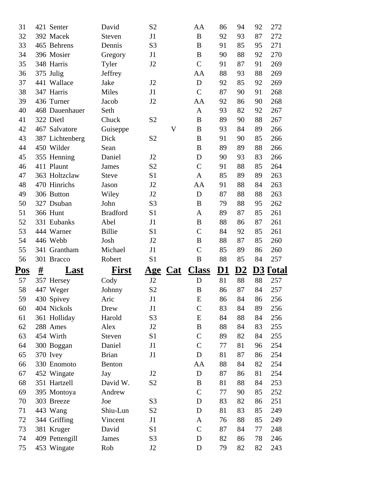| 31         |          | 421 Senter                | David           | S <sub>2</sub> |             | AA               | 86 | 94        | 92 | 272                    |
|------------|----------|---------------------------|-----------------|----------------|-------------|------------------|----|-----------|----|------------------------|
| 32         |          | 392 Macek                 | Steven          | J1             |             | $\bf{B}$         | 92 | 93        | 87 | 272                    |
| 33         |          | 465 Behrens               | Dennis          | S <sub>3</sub> |             | B                | 91 | 85        | 95 | 271                    |
| 34         |          | 396 Mosier                | Gregory         | J1             |             | B                | 90 | 88        | 92 | 270                    |
| 35         |          | 348 Harris                | Tyler           | J2             |             | $\mathcal{C}$    | 91 | 87        | 91 | 269                    |
| 36         |          | 375 Julig                 | Jeffrey         |                |             | AA               | 88 | 93        | 88 | 269                    |
| 37         |          | 441 Wallace               | Jake            | J2             |             | D                | 92 | 85        | 92 | 269                    |
| 38         |          | 347 Harris                | Miles           | J1             |             | $\mathcal{C}$    | 87 | 90        | 91 | 268                    |
| 39         |          | 436 Turner                | Jacob           | J2             |             | AA               | 92 | 86        | 90 | 268                    |
| 40         |          | 468 Dauenhauer            | Seth            |                |             | A                | 93 | 82        | 92 | 267                    |
| 41         |          | 322 Dietl                 | Chuck           | S <sub>2</sub> |             | B                | 89 | 90        | 88 | 267                    |
| 42         |          | 467 Salvatore             | Guiseppe        |                | $\mathbf V$ | B                | 93 | 84        | 89 | 266                    |
| 43         |          | 387 Lichtenberg           | Dick            | S <sub>2</sub> |             | B                | 91 | 90        | 85 | 266                    |
| 44         |          | 450 Wilder                | Sean            |                |             | B                | 89 | 89        | 88 | 266                    |
| 45         |          | 355 Henning               | Daniel          | J2             |             | D                | 90 | 93        | 83 | 266                    |
| 46         |          | 411 Plaunt                | James           | S <sub>2</sub> |             | $\mathcal{C}$    | 91 | 88        | 85 | 264                    |
| 47         |          | 363 Holtzclaw             | <b>Steve</b>    | S <sub>1</sub> |             | A                | 85 | 89        | 89 | 263                    |
| 48         |          | 470 Hinrichs              | Jason           | J2             |             | AA               | 91 | 88        | 84 | 263                    |
| 49         |          | 306 Button                | Wiley           | J2             |             | D                | 87 | 88        | 88 | 263                    |
| 50         |          | 327 Dsuban                | John            | S <sub>3</sub> |             | B                | 79 | 88        | 95 | 262                    |
| 51         |          | <b>366 Hunt</b>           | <b>Bradford</b> | S <sub>1</sub> |             | A                | 89 | 87        | 85 | 261                    |
| 52         |          | 331 Eubanks               | Abel            | J1             |             | B                | 88 | 86        | 87 | 261                    |
| 53         |          | 444 Warner                | <b>Billie</b>   | S <sub>1</sub> |             | $\mathcal{C}$    | 84 | 92        | 85 | 261                    |
|            |          |                           |                 |                |             |                  |    |           |    |                        |
| 54         |          | 446 Webb                  | Josh            | J2             |             | B                | 88 | 87        | 85 | 260                    |
| 55         |          | 341 Grantham              | Michael         | J1             |             | $\mathsf{C}$     | 85 | 89        | 86 | 260                    |
| 56         |          | 301 Bracco                | Robert          | S <sub>1</sub> |             | B                | 88 | 85        | 84 | 257                    |
| <u>Pos</u> | <u>#</u> | Last                      | <b>First</b>    | <u>Age</u>     | $Cat$       | <b>Class</b>     | D1 | <u>D2</u> |    | <b>D3 <u>Total</u></b> |
| 57         |          | 357 Hersey                | Cody            | J2             |             | D                | 81 | 88        | 88 | 257                    |
| 58         |          | 447 Weger                 | Johnny          | S <sub>2</sub> |             | $\boldsymbol{B}$ | 86 | 87        | 84 | 257                    |
| 59         |          |                           | Aric            | J1             |             | E                | 86 | 84        | 86 | 256                    |
| 60         |          | 430 Spivey<br>404 Nickols | Drew            | J1             |             | $\mathsf{C}$     | 83 | 84        | 89 | 256                    |
| 61         |          | 361 Holliday              | Harold          | S <sub>3</sub> |             | E                | 84 | 88        | 84 | 256                    |
| 62         |          | 288 Ames                  | Alex            | J <sub>2</sub> |             | B                | 88 | 84        | 83 | 255                    |
| 63         |          | 454 Wirth                 | Steven          | S1             |             | $\mathcal{C}$    | 89 | 82        | 84 | 255                    |
| 64         |          | 300 Boggan                | Daniel          | J1             |             | $\mathbf C$      | 77 | 81        | 96 | 254                    |
| 65         |          | 370 Ivey                  | <b>Brian</b>    | J1             |             | D                | 81 | 87        | 86 | 254                    |
| 66         |          | 330 Enomoto               | <b>Benton</b>   |                |             | AA               | 88 | 84        | 82 | 254                    |
| 67         |          | 452 Wingate               | Jay             | J <sub>2</sub> |             | D                | 87 | 86        | 81 | 254                    |
| 68         |          | 351 Hartzell              | David W.        | S2             |             | B                | 81 | 88        | 84 | 253                    |
| 69         |          | 395 Montoya               | Andrew          |                |             | $\mathbf C$      | 77 | 90        | 85 | 252                    |
| 70         |          | 303 Breeze                | Joe             | S <sub>3</sub> |             | D                | 83 | 82        | 86 | 251                    |
| 71         |          | 443 Wang                  | Shiu-Lun        | S <sub>2</sub> |             | D                | 81 | 83        | 85 | 249                    |
| 72         |          | 344 Griffing              | Vincent         | J1             |             | A                | 76 | 88        | 85 | 249                    |
| 73         |          | 381 Kruger                | David           | S1             |             | $\mathcal{C}$    | 87 | 84        | 77 | 248                    |
| 74         |          | 409 Pettengill            | James           | S <sub>3</sub> |             | D                | 82 | 86        | 78 | 246                    |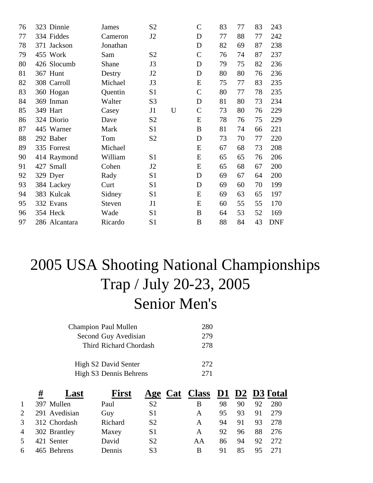| 76 | 323 Dinnie    | James    | S <sub>2</sub> |   | $\mathbf C$   | 83 | 77 | 83 | 243        |
|----|---------------|----------|----------------|---|---------------|----|----|----|------------|
| 77 | 334 Fiddes    | Cameron  | J <sub>2</sub> |   | D             | 77 | 88 | 77 | 242        |
| 78 | 371 Jackson   | Jonathan |                |   | D             | 82 | 69 | 87 | 238        |
| 79 | 455 Work      | Sam      | S <sub>2</sub> |   | $\mathsf{C}$  | 76 | 74 | 87 | 237        |
| 80 | 426 Slocumb   | Shane    | J3             |   | D             | 79 | 75 | 82 | 236        |
| 81 | 367 Hunt      | Destry   | J2             |   | D             | 80 | 80 | 76 | 236        |
| 82 | 308 Carroll   | Michael  | J3             |   | E             | 75 | 77 | 83 | 235        |
| 83 | 360 Hogan     | Quentin  | S1             |   | $\mathcal{C}$ | 80 | 77 | 78 | 235        |
| 84 | 369 Inman     | Walter   | S <sub>3</sub> |   | D             | 81 | 80 | 73 | 234        |
| 85 | 349 Hart      | Casey    | J1             | U | $\mathsf{C}$  | 73 | 80 | 76 | 229        |
| 86 | 324 Diorio    | Dave     | S <sub>2</sub> |   | E             | 78 | 76 | 75 | 229        |
| 87 | 445 Warner    | Mark     | S <sub>1</sub> |   | B             | 81 | 74 | 66 | 221        |
| 88 | 292 Baber     | Tom      | S <sub>2</sub> |   | D             | 73 | 70 | 77 | 220        |
| 89 | 335 Forrest   | Michael  |                |   | E             | 67 | 68 | 73 | 208        |
| 90 | 414 Raymond   | William  | S <sub>1</sub> |   | E             | 65 | 65 | 76 | 206        |
| 91 | 427 Small     | Cohen    | J2             |   | E             | 65 | 68 | 67 | 200        |
| 92 | 329 Dyer      | Rady     | S <sub>1</sub> |   | D             | 69 | 67 | 64 | 200        |
| 93 | 384 Lackey    | Curt     | S <sub>1</sub> |   | D             | 69 | 60 | 70 | 199        |
| 94 | 383 Kulcak    | Sidney   | S <sub>1</sub> |   | E             | 69 | 63 | 65 | 197        |
| 95 | 332 Evans     | Steven   | J1             |   | E             | 60 | 55 | 55 | 170        |
| 96 | 354 Heck      | Wade     | S <sub>1</sub> |   | B             | 64 | 53 | 52 | 169        |
| 97 | 286 Alcantara | Ricardo  | S <sub>1</sub> |   | B             | 88 | 84 | 43 | <b>DNF</b> |
|    |               |          |                |   |               |    |    |    |            |

# 2005 USA Shooting National Championships Trap / July 20-23, 2005 Senior Men's

| <b>Champion Paul Mullen</b> | 280  |
|-----------------------------|------|
| Second Guy Avedisian        | 279  |
| Third Richard Chordash      | 278  |
|                             |      |
| High S2 David Senter        | 2.72 |
| High S3 Dennis Behrens      | 271  |

|                | #<br>Last     | <b>First</b> | Age Cat Class D1 D2 D3 Fotal |    |    |    |    |      |
|----------------|---------------|--------------|------------------------------|----|----|----|----|------|
| 1              | 397 Mullen    | Paul         | S <sub>2</sub>               | B  | 98 | 90 | 92 | 280  |
| 2              | 291 Avedisian | Guy          | S <sub>1</sub>               | A  | 95 | 93 | 91 | 279  |
| $\mathcal{F}$  | 312 Chordash  | Richard      | S <sub>2</sub>               | A  | 94 | 91 | 93 | 278  |
| $\overline{4}$ | 302 Brantley  | Maxey        | S <sub>1</sub>               | A  | 92 | 96 | 88 | 276  |
| 5              | 421 Senter    | David        | S <sub>2</sub>               | AΑ | 86 | 94 | 92 | 2.72 |
| 6              | 465 Behrens   | Dennis       | S <sub>3</sub>               | B  | 91 | 85 |    | 271  |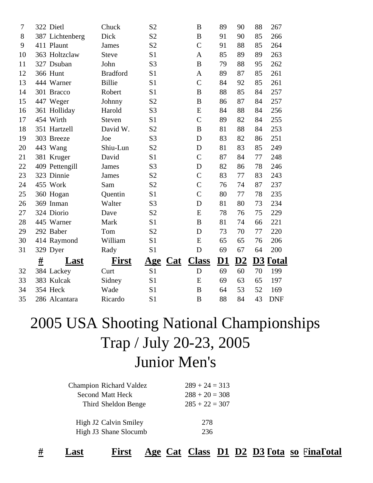| 7  | 322 Dietl        | Chuck           | S <sub>2</sub>    | B              | 89 | 90        | 88             | 267                 |
|----|------------------|-----------------|-------------------|----------------|----|-----------|----------------|---------------------|
| 8  | 387 Lichtenberg  | Dick            | S <sub>2</sub>    | B              | 91 | 90        | 85             | 266                 |
| 9  | 411 Plaunt       | James           | S <sub>2</sub>    | $\overline{C}$ | 91 | 88        | 85             | 264                 |
| 10 | 363 Holtzclaw    | <b>Steve</b>    | S <sub>1</sub>    | A              | 85 | 89        | 89             | 263                 |
| 11 | 327 Dsuban       | John            | S <sub>3</sub>    | B              | 79 | 88        | 95             | 262                 |
| 12 | <b>366 Hunt</b>  | <b>Bradford</b> | S <sub>1</sub>    | $\mathbf{A}$   | 89 | 87        | 85             | 261                 |
| 13 | 444 Warner       | <b>Billie</b>   | S <sub>1</sub>    | $\overline{C}$ | 84 | 92        | 85             | 261                 |
| 14 | 301 Bracco       | Robert          | S <sub>1</sub>    | $\bf{B}$       | 88 | 85        | 84             | 257                 |
| 15 | 447 Weger        | Johnny          | S <sub>2</sub>    | B              | 86 | 87        | 84             | 257                 |
| 16 | 361 Holliday     | Harold          | S <sub>3</sub>    | E              | 84 | 88        | 84             | 256                 |
| 17 | 454 Wirth        | Steven          | S <sub>1</sub>    | $\mathcal{C}$  | 89 | 82        | 84             | 255                 |
| 18 | 351 Hartzell     | David W.        | S <sub>2</sub>    | B              | 81 | 88        | 84             | 253                 |
| 19 | 303 Breeze       | Joe             | S <sub>3</sub>    | D              | 83 | 82        | 86             | 251                 |
| 20 | 443 Wang         | Shiu-Lun        | S <sub>2</sub>    | D              | 81 | 83        | 85             | 249                 |
| 21 | 381 Kruger       | David           | S <sub>1</sub>    | $\mathcal{C}$  | 87 | 84        | 77             | 248                 |
| 22 | 409 Pettengill   | James           | S <sub>3</sub>    | D              | 82 | 86        | 78             | 246                 |
| 23 | 323 Dinnie       | James           | S <sub>2</sub>    | $\overline{C}$ | 83 | 77        | 83             | 243                 |
| 24 | 455 Work         | Sam             | S <sub>2</sub>    | $\mathcal{C}$  | 76 | 74        | 87             | 237                 |
| 25 | 360 Hogan        | Quentin         | S <sub>1</sub>    | $\overline{C}$ | 80 | 77        | 78             | 235                 |
| 26 | 369 Inman        | Walter          | S <sub>3</sub>    | D              | 81 | 80        | 73             | 234                 |
| 27 | 324 Diorio       | Dave            | S <sub>2</sub>    | E              | 78 | 76        | 75             | 229                 |
| 28 | 445 Warner       | Mark            | S <sub>1</sub>    | B              | 81 | 74        | 66             | 221                 |
| 29 | 292 Baber        | Tom             | S <sub>2</sub>    | D              | 73 | 70        | 77             | 220                 |
| 30 | 414 Raymond      | William         | S <sub>1</sub>    | E              | 65 | 65        | 76             | 206                 |
| 31 | 329 Dyer         | Rady            | S <sub>1</sub>    | D              | 69 | 67        | 64             | 200                 |
|    | <u>#</u><br>Last | <b>First</b>    | Cat<br><u>Age</u> | <b>Class</b>   | D1 | <u>D2</u> | D <sub>3</sub> | <b><u>Fotal</u></b> |
| 32 | 384 Lackey       | Curt            | S <sub>1</sub>    | D              | 69 | 60        | 70             | 199                 |
| 33 | 383 Kulcak       | Sidney          | S <sub>1</sub>    | E              | 69 | 63        | 65             | 197                 |
| 34 | 354 Heck         | Wade            | S <sub>1</sub>    | B              | 64 | 53        | 52             | 169                 |
| 35 | 286 Alcantara    | Ricardo         | S <sub>1</sub>    | B              | 88 | 84        | 43             | <b>DNF</b>          |

#### 2005 USA Shooting National Championships Trap / July 20-23, 2005 Junior Men's

| <b>Champion Richard Valdez</b> | $289 + 24 = 313$ |
|--------------------------------|------------------|
| <b>Second Matt Heck</b>        | $288 + 20 = 308$ |
| Third Sheldon Benge            | $285 + 22 = 307$ |
|                                |                  |
| High J2 Calvin Smiley          | 278              |
| High J3 Shane Slocumb          | 236              |
|                                |                  |

**# Last First Age Cat Class D1 D2 D3Tota so FinaTl otal**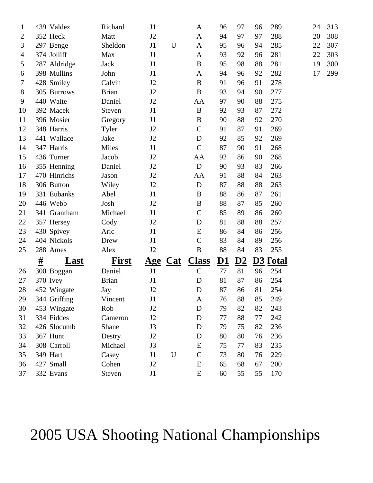| 1              |   | 439 Valdez   | Richard      | J1             |             | A                | 96        | 97                        | 96 | 289                    | 24 | 313 |
|----------------|---|--------------|--------------|----------------|-------------|------------------|-----------|---------------------------|----|------------------------|----|-----|
| $\overline{2}$ |   | 352 Heck     | Matt         | J2             |             | A                | 94        | 97                        | 97 | 288                    | 20 | 308 |
| 3              |   | 297 Benge    | Sheldon      | J1             | $\mathbf U$ | A                | 95        | 96                        | 94 | 285                    | 22 | 307 |
| $\overline{4}$ |   | 374 Jolliff  | Max          | J1             |             | A                | 93        | 92                        | 96 | 281                    | 22 | 303 |
| 5              |   | 287 Aldridge | Jack         | J1             |             | $\boldsymbol{B}$ | 95        | 98                        | 88 | 281                    | 19 | 300 |
| 6              |   | 398 Mullins  | John         | J1             |             | A                | 94        | 96                        | 92 | 282                    | 17 | 299 |
| 7              |   | 428 Smiley   | Calvin       | J2             |             | $\boldsymbol{B}$ | 91        | 96                        | 91 | 278                    |    |     |
| 8              |   | 305 Burrows  | <b>Brian</b> | J2             |             | $\, {\bf B}$     | 93        | 94                        | 90 | 277                    |    |     |
| 9              |   | 440 Waite    | Daniel       | J2             |             | AA               | 97        | 90                        | 88 | 275                    |    |     |
| 10             |   | 392 Macek    | Steven       | J1             |             | $\bf{B}$         | 92        | 93                        | 87 | 272                    |    |     |
| 11             |   | 396 Mosier   | Gregory      | J1             |             | B                | 90        | 88                        | 92 | 270                    |    |     |
| 12             |   | 348 Harris   | Tyler        | J2             |             | $\mathsf{C}$     | 91        | 87                        | 91 | 269                    |    |     |
| 13             |   | 441 Wallace  | Jake         | J2             |             | D                | 92        | 85                        | 92 | 269                    |    |     |
| 14             |   | 347 Harris   | Miles        | J1             |             | $\mathbf C$      | 87        | 90                        | 91 | 268                    |    |     |
| 15             |   | 436 Turner   | Jacob        | J2             |             | AA               | 92        | 86                        | 90 | 268                    |    |     |
| 16             |   | 355 Henning  | Daniel       | J2             |             | $\mathbf D$      | 90        | 93                        | 83 | 266                    |    |     |
| 17             |   | 470 Hinrichs | Jason        | J2             |             | AA               | 91        | 88                        | 84 | 263                    |    |     |
| 18             |   | 306 Button   | Wiley        | J2             |             | $\mathbf D$      | 87        | 88                        | 88 | 263                    |    |     |
| 19             |   | 331 Eubanks  | Abel         | J1             |             | B                | 88        | 86                        | 87 | 261                    |    |     |
| 20             |   | 446 Webb     | Josh         | J2             |             | B                | 88        | 87                        | 85 | 260                    |    |     |
| 21             |   | 341 Grantham | Michael      | J1             |             | $\mathsf{C}$     | 85        | 89                        | 86 | 260                    |    |     |
| 22             |   | 357 Hersey   | Cody         | J2             |             | $\mathbf D$      | 81        | 88                        | 88 | 257                    |    |     |
| 23             |   | 430 Spivey   | Aric         | J1             |             | ${\bf E}$        | 86        | 84                        | 86 | 256                    |    |     |
| 24             |   | 404 Nickols  | Drew         | J1             |             | $\mathsf{C}$     | 83        | 84                        | 89 | 256                    |    |     |
| 25             |   | 288 Ames     | Alex         | J2             |             | $\bf{B}$         | 88        | 84                        | 83 | 255                    |    |     |
|                | # | <b>Last</b>  | <b>First</b> | <u>Age</u>     | Cat         | <b>Class</b>     | <u>D1</u> | $\underline{\mathbf{D2}}$ |    | <b>D3 <u>Cotal</u></b> |    |     |
| 26             |   | 300 Boggan   | Daniel       | J1             |             | $\mathbf C$      | 77        | 81                        | 96 | 254                    |    |     |
| 27             |   | 370 Ivey     | <b>Brian</b> | J1             |             | D                | 81        | 87                        | 86 | 254                    |    |     |
| 28             |   | 452 Wingate  | Jay          | J <sub>2</sub> |             | $\mathbf D$      | 87        | 86                        | 81 | 254                    |    |     |
| 29             |   | 344 Griffing | Vincent      | J1             |             | A                | 76        | 88                        | 85 | 249                    |    |     |
| 30             |   | 453 Wingate  | Rob          | J2             |             | D                | 79        | 82                        | 82 | 243                    |    |     |
| 31             |   | 334 Fiddes   | Cameron      | J2             |             | D                | 77        | 88                        | 77 | 242                    |    |     |
| 32             |   | 426 Slocumb  | Shane        | J3             |             | D                | 79        | 75                        | 82 | 236                    |    |     |
| 33             |   | 367 Hunt     | Destry       | J2             |             | D                | 80        | 80                        | 76 | 236                    |    |     |
| 34             |   | 308 Carroll  | Michael      | J3             |             | E                | 75        | 77                        | 83 | 235                    |    |     |
| 35             |   | 349 Hart     | Casey        | J1             | $\mathbf U$ | $\mathsf{C}$     | 73        | 80                        | 76 | 229                    |    |     |
| 36             |   | 427 Small    | Cohen        | J2             |             | E                | 65        | 68                        | 67 | 200                    |    |     |
| 37             |   | 332 Evans    | Steven       | J1             |             | ${\bf E}$        | 60        | 55                        | 55 | 170                    |    |     |

# 2005 USA Shooting National Championships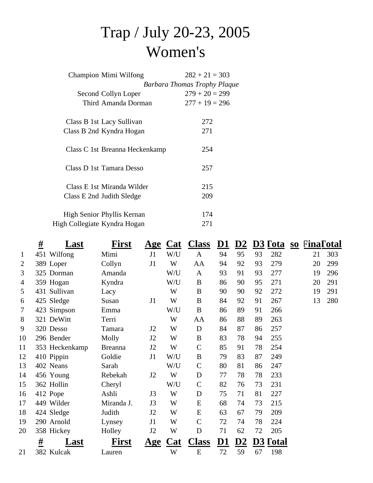# Trap / July 20-23, 2005 Women's

| Champion Mimi Wilfong          | $282 + 21 = 303$             |
|--------------------------------|------------------------------|
|                                | Barbara Thomas Trophy Plaque |
| Second Collyn Loper            | $279 + 20 = 299$             |
| Third Amanda Dorman            | $277 + 19 = 296$             |
| Class B 1st Lacy Sullivan      | 272                          |
| Class B 2nd Kyndra Hogan       | 271                          |
| Class C 1st Breanna Heckenkamp | 254                          |
| Class D 1st Tamara Desso       | 257                          |
| Class E 1st Miranda Wilder     | 215                          |
| Class E 2nd Judith Sledge      | 209                          |
| High Senior Phyllis Kernan     | 174                          |
| High Collegiate Kyndra Hogan   | 271                          |
|                                |                              |

|                | <u>#</u> | Last           | First          | <u>Age</u>     | Cat                  | <b>Class</b>  | D1             | D2            |    | $D3$ Tota | $S$ | FinaTotal |     |
|----------------|----------|----------------|----------------|----------------|----------------------|---------------|----------------|---------------|----|-----------|-----|-----------|-----|
| $\mathbf{1}$   |          | 451 Wilfong    | Mimi           | J1             | W/U                  | $\mathbf{A}$  | 94             | 95            | 93 | 282       |     | 21        | 303 |
| $\overline{2}$ |          | 389 Loper      | Collyn         | J1             | W                    | AA            | 94             | 92            | 93 | 279       |     | 20        | 299 |
| 3              |          | 325 Dorman     | Amanda         |                | W/U                  | $\mathbf{A}$  | 93             | 91            | 93 | 277       |     | 19        | 296 |
| 4              |          | 359 Hogan      | Kyndra         |                | W/U                  | $\bf{B}$      | 86             | 90            | 95 | 271       |     | 20        | 291 |
| 5              |          | 431 Sullivan   | Lacy           |                | W                    | $\bf{B}$      | 90             | 90            | 92 | 272       |     | 19        | 291 |
| 6              |          | 425 Sledge     | Susan          | J1             | W                    | $\bf{B}$      | 84             | 92            | 91 | 267       |     | 13        | 280 |
| $\tau$         |          | 423 Simpson    | Emma           |                | W/U                  | $\bf{B}$      | 86             | 89            | 91 | 266       |     |           |     |
| 8              |          | 321 DeWitt     | Terri          |                | W                    | AA            | 86             | 88            | 89 | 263       |     |           |     |
| 9              |          | 320 Desso      | Tamara         | J2             | W                    | D             | 84             | 87            | 86 | 257       |     |           |     |
| 10             |          | 296 Bender     | Molly          | J2             | W                    | $\bf{B}$      | 83             | 78            | 94 | 255       |     |           |     |
| 11             |          | 353 Heckenkamp | <b>Breanna</b> | J <sub>2</sub> | W                    | $\mathcal{C}$ | 85             | 91            | 78 | 254       |     |           |     |
| 12             |          | 410 Pippin     | Goldie         | J1             | W/U                  | B             | 79             | 83            | 87 | 249       |     |           |     |
| 13             |          | 402 Neans      | Sarah          |                | W/U                  | $\mathcal{C}$ | 80             | 81            | 86 | 247       |     |           |     |
| 14             |          | 456 Young      | Rebekah        | J <sub>2</sub> | W                    | D             | 77             | 78            | 78 | 233       |     |           |     |
| 15             |          | 362 Hollin     | Cheryl         |                | W/U                  | $\mathbf C$   | 82             | 76            | 73 | 231       |     |           |     |
| 16             |          | 412 Pope       | Ashli          | J3             | W                    | D             | 75             | 71            | 81 | 227       |     |           |     |
| 17             |          | 449 Wilder     | Miranda J.     | J3             | W                    | ${\bf E}$     | 68             | 74            | 73 | 215       |     |           |     |
| 18             |          | 424 Sledge     | Judith         | J2             | W                    | ${\bf E}$     | 63             | 67            | 79 | 209       |     |           |     |
| 19             |          | 290 Arnold     | Lynsey         | J1             | W                    | $\mathcal{C}$ | 72             | 74            | 78 | 224       |     |           |     |
| 20             |          | 358 Hickey     | Holley         | J2             | W                    | D             | 71             | 62            | 72 | 205       |     |           |     |
|                | #        | Last           | First          | <u>Age</u>     | $C_{\underline{a}t}$ | <b>Class</b>  | D <sub>1</sub> | $\mathbf{D}2$ |    | D3 Fotal  |     |           |     |
| 21             |          | 382 Kulcak     | Lauren         |                | W                    | E             | 72             | 59            | 67 | 198       |     |           |     |